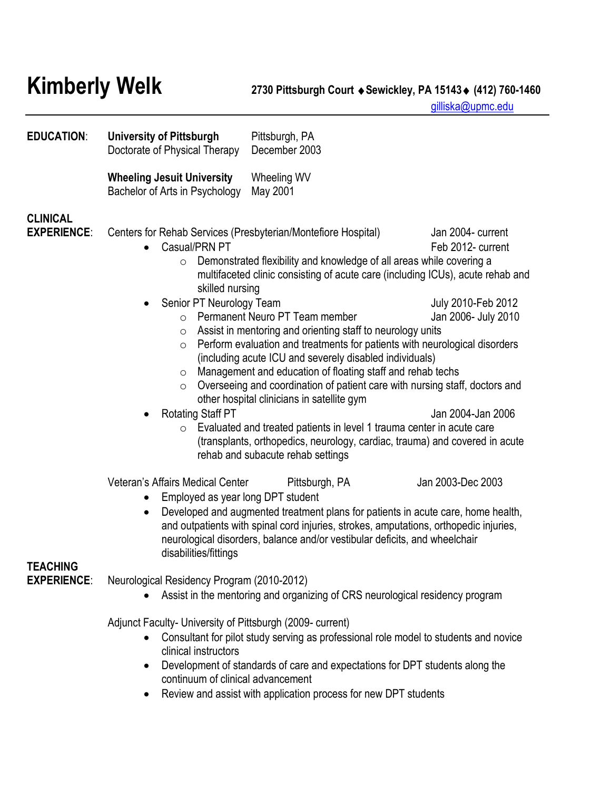**Kimberly Welk 2730 Pittsburgh Court Sewickley, PA 15143 (412) 760-1460**

[gilliska@upmc.edu](mailto:gilliska@upmc.edu)

| <b>EDUCATION:</b>                     | <b>University of Pittsburgh</b><br>Doctorate of Physical Therapy                                                                                                                                                                                                                                                                                                                                                                                                                                                                                                                                                                                                                                                                                                                                                                                                                                                                           | Pittsburgh, PA<br>December 2003                                                                                                                                                                                                                                                                                                                                                                                                                                                                                                                                                                                                                                                                                                                                                                 |                                                                                                          |
|---------------------------------------|--------------------------------------------------------------------------------------------------------------------------------------------------------------------------------------------------------------------------------------------------------------------------------------------------------------------------------------------------------------------------------------------------------------------------------------------------------------------------------------------------------------------------------------------------------------------------------------------------------------------------------------------------------------------------------------------------------------------------------------------------------------------------------------------------------------------------------------------------------------------------------------------------------------------------------------------|-------------------------------------------------------------------------------------------------------------------------------------------------------------------------------------------------------------------------------------------------------------------------------------------------------------------------------------------------------------------------------------------------------------------------------------------------------------------------------------------------------------------------------------------------------------------------------------------------------------------------------------------------------------------------------------------------------------------------------------------------------------------------------------------------|----------------------------------------------------------------------------------------------------------|
|                                       | <b>Wheeling Jesuit University</b><br>Bachelor of Arts in Psychology                                                                                                                                                                                                                                                                                                                                                                                                                                                                                                                                                                                                                                                                                                                                                                                                                                                                        | Wheeling WV<br>May 2001                                                                                                                                                                                                                                                                                                                                                                                                                                                                                                                                                                                                                                                                                                                                                                         |                                                                                                          |
| <b>CLINICAL</b><br><b>EXPERIENCE:</b> | Centers for Rehab Services (Presbyterian/Montefiore Hospital)<br>Casual/PRN PT<br>$\bullet$<br>$\circ$<br>skilled nursing<br>Senior PT Neurology Team<br>$\circ$<br>$\circ$<br>$\circ$<br>$\circ$<br>$\circ$<br><b>Rotating Staff PT</b><br>$\bullet$                                                                                                                                                                                                                                                                                                                                                                                                                                                                                                                                                                                                                                                                                      | Demonstrated flexibility and knowledge of all areas while covering a<br>multifaceted clinic consisting of acute care (including ICUs), acute rehab and<br>Permanent Neuro PT Team member<br>Assist in mentoring and orienting staff to neurology units<br>Perform evaluation and treatments for patients with neurological disorders<br>(including acute ICU and severely disabled individuals)<br>Management and education of floating staff and rehab techs<br>Overseeing and coordination of patient care with nursing staff, doctors and<br>other hospital clinicians in satellite gym<br>$\circ$ Evaluated and treated patients in level 1 trauma center in acute care<br>(transplants, orthopedics, neurology, cardiac, trauma) and covered in acute<br>rehab and subacute rehab settings | Jan 2004- current<br>Feb 2012- current<br>July 2010-Feb 2012<br>Jan 2006- July 2010<br>Jan 2004-Jan 2006 |
| TEACHING<br><b>EXPERIENCE:</b>        | Jan 2003-Dec 2003<br>Veteran's Affairs Medical Center<br>Pittsburgh, PA<br>Employed as year long DPT student<br>$\bullet$<br>Developed and augmented treatment plans for patients in acute care, home health,<br>$\bullet$<br>and outpatients with spinal cord injuries, strokes, amputations, orthopedic injuries,<br>neurological disorders, balance and/or vestibular deficits, and wheelchair<br>disabilities/fittings<br>Neurological Residency Program (2010-2012)<br>Assist in the mentoring and organizing of CRS neurological residency program<br>Adjunct Faculty- University of Pittsburgh (2009- current)<br>Consultant for pilot study serving as professional role model to students and novice<br>clinical instructors<br>Development of standards of care and expectations for DPT students along the<br>$\bullet$<br>continuum of clinical advancement<br>Review and assist with application process for new DPT students |                                                                                                                                                                                                                                                                                                                                                                                                                                                                                                                                                                                                                                                                                                                                                                                                 |                                                                                                          |